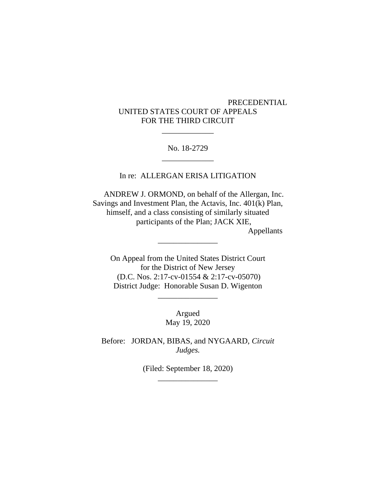# PRECEDENTIAL UNITED STATES COURT OF APPEALS FOR THE THIRD CIRCUIT

### No. 18-2729 \_\_\_\_\_\_\_\_\_\_\_\_\_

\_\_\_\_\_\_\_\_\_\_\_\_\_

In re: ALLERGAN ERISA LITIGATION

 ANDREW J. ORMOND, on behalf of the Allergan, Inc. Savings and Investment Plan, the Actavis, Inc. 401(k) Plan, himself, and a class consisting of similarly situated participants of the Plan; JACK XIE, Appellants

\_\_\_\_\_\_\_\_\_\_\_\_\_\_\_

On Appeal from the United States District Court for the District of New Jersey (D.C. Nos. 2:17-cv-01554 & 2:17-cv-05070) District Judge: Honorable Susan D. Wigenton

> Argued May 19, 2020

\_\_\_\_\_\_\_\_\_\_\_\_\_\_\_

Before: JORDAN, BIBAS, and NYGAARD, *Circuit Judges.*

> (Filed: September 18, 2020) \_\_\_\_\_\_\_\_\_\_\_\_\_\_\_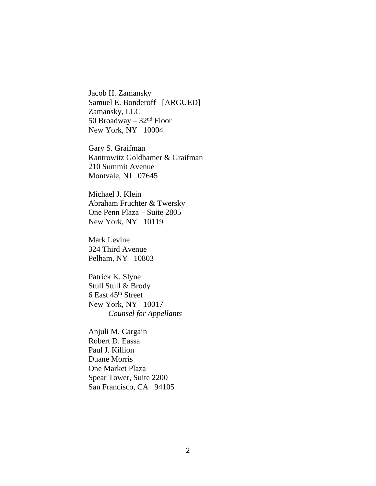Jacob H. Zamansky Samuel E. Bonderoff [ARGUED] Zamansky, LLC 50 Broadway –  $32<sup>nd</sup>$  Floor New York, NY 10004

Gary S. Graifman Kantrowitz Goldhamer & Graifman 210 Summit Avenue Montvale, NJ 07645

Michael J. Klein Abraham Fruchter & Twersky One Penn Plaza – Suite 2805 New York, NY 10119

Mark Levine 324 Third Avenue Pelham, NY 10803

Patrick K. Slyne Stull Stull & Brody 6 East 45th Street New York, NY 10017 *Counsel for Appellants*

Anjuli M. Cargain Robert D. Eassa Paul J. Killion Duane Morris One Market Plaza Spear Tower, Suite 2200 San Francisco, CA 94105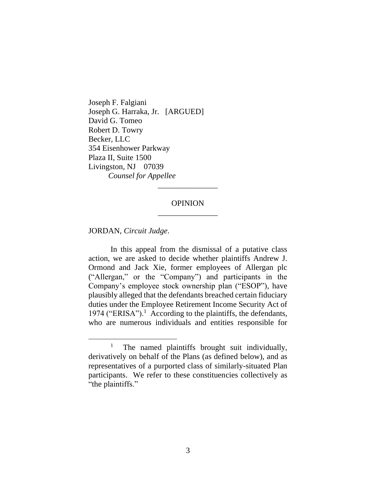Joseph F. Falgiani Joseph G. Harraka, Jr. [ARGUED] David G. Tomeo Robert D. Towry Becker, LLC 354 Eisenhower Parkway Plaza II, Suite 1500 Livingston, NJ 07039 *Counsel for Appellee*

# **OPINION** \_\_\_\_\_\_\_\_\_\_\_\_\_\_\_

\_\_\_\_\_\_\_\_\_\_\_\_\_\_\_

JORDAN, *Circuit Judge*.

In this appeal from the dismissal of a putative class action, we are asked to decide whether plaintiffs Andrew J. Ormond and Jack Xie, former employees of Allergan plc ("Allergan," or the "Company") and participants in the Company's employee stock ownership plan ("ESOP"), have plausibly alleged that the defendants breached certain fiduciary duties under the Employee Retirement Income Security Act of 1974 ("ERISA").<sup>1</sup> According to the plaintiffs, the defendants, who are numerous individuals and entities responsible for

<sup>1</sup> The named plaintiffs brought suit individually, derivatively on behalf of the Plans (as defined below), and as representatives of a purported class of similarly-situated Plan participants. We refer to these constituencies collectively as "the plaintiffs."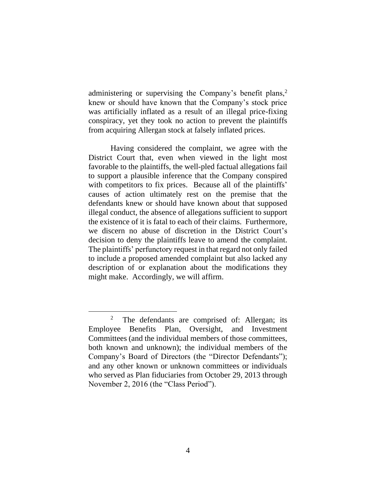administering or supervising the Company's benefit plans,<sup>2</sup> knew or should have known that the Company's stock price was artificially inflated as a result of an illegal price-fixing conspiracy, yet they took no action to prevent the plaintiffs from acquiring Allergan stock at falsely inflated prices.

Having considered the complaint, we agree with the District Court that, even when viewed in the light most favorable to the plaintiffs, the well-pled factual allegations fail to support a plausible inference that the Company conspired with competitors to fix prices. Because all of the plaintiffs' causes of action ultimately rest on the premise that the defendants knew or should have known about that supposed illegal conduct, the absence of allegations sufficient to support the existence of it is fatal to each of their claims. Furthermore, we discern no abuse of discretion in the District Court's decision to deny the plaintiffs leave to amend the complaint. The plaintiffs' perfunctory request in that regard not only failed to include a proposed amended complaint but also lacked any description of or explanation about the modifications they might make. Accordingly, we will affirm.

<sup>2</sup> The defendants are comprised of: Allergan; its Employee Benefits Plan, Oversight, and Investment Committees (and the individual members of those committees, both known and unknown); the individual members of the Company's Board of Directors (the "Director Defendants"); and any other known or unknown committees or individuals who served as Plan fiduciaries from October 29, 2013 through November 2, 2016 (the "Class Period").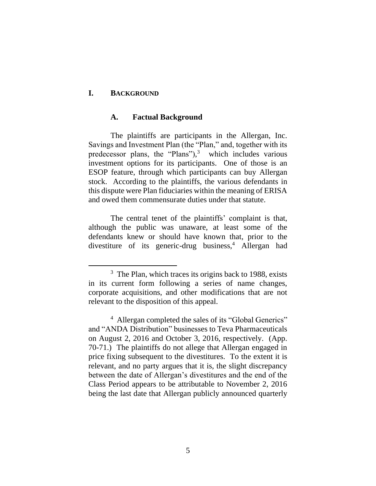#### **I. BACKGROUND**

#### **A. Factual Background**

The plaintiffs are participants in the Allergan, Inc. Savings and Investment Plan (the "Plan," and, together with its predecessor plans, the "Plans"), 3 which includes various investment options for its participants. One of those is an ESOP feature, through which participants can buy Allergan stock. According to the plaintiffs, the various defendants in this dispute were Plan fiduciaries within the meaning of ERISA and owed them commensurate duties under that statute.

The central tenet of the plaintiffs' complaint is that, although the public was unaware, at least some of the defendants knew or should have known that, prior to the divestiture of its generic-drug business,<sup>4</sup> Allergan had

<sup>&</sup>lt;sup>3</sup> The Plan, which traces its origins back to 1988, exists in its current form following a series of name changes, corporate acquisitions, and other modifications that are not relevant to the disposition of this appeal.

<sup>&</sup>lt;sup>4</sup> Allergan completed the sales of its "Global Generics" and "ANDA Distribution" businesses to Teva Pharmaceuticals on August 2, 2016 and October 3, 2016, respectively. (App. 70-71.) The plaintiffs do not allege that Allergan engaged in price fixing subsequent to the divestitures. To the extent it is relevant, and no party argues that it is, the slight discrepancy between the date of Allergan's divestitures and the end of the Class Period appears to be attributable to November 2, 2016 being the last date that Allergan publicly announced quarterly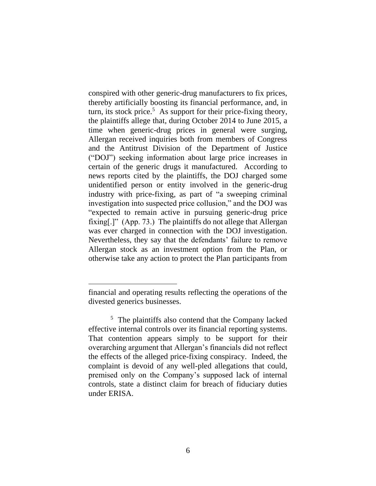conspired with other generic-drug manufacturers to fix prices, thereby artificially boosting its financial performance, and, in turn, its stock price.<sup>5</sup> As support for their price-fixing theory, the plaintiffs allege that, during October 2014 to June 2015, a time when generic-drug prices in general were surging, Allergan received inquiries both from members of Congress and the Antitrust Division of the Department of Justice ("DOJ") seeking information about large price increases in certain of the generic drugs it manufactured. According to news reports cited by the plaintiffs, the DOJ charged some unidentified person or entity involved in the generic-drug industry with price-fixing, as part of "a sweeping criminal investigation into suspected price collusion," and the DOJ was "expected to remain active in pursuing generic-drug price fixing[.]" (App. 73.) The plaintiffs do not allege that Allergan was ever charged in connection with the DOJ investigation. Nevertheless, they say that the defendants' failure to remove Allergan stock as an investment option from the Plan, or otherwise take any action to protect the Plan participants from

financial and operating results reflecting the operations of the divested generics businesses.

<sup>&</sup>lt;sup>5</sup> The plaintiffs also contend that the Company lacked effective internal controls over its financial reporting systems. That contention appears simply to be support for their overarching argument that Allergan's financials did not reflect the effects of the alleged price-fixing conspiracy. Indeed, the complaint is devoid of any well-pled allegations that could, premised only on the Company's supposed lack of internal controls, state a distinct claim for breach of fiduciary duties under ERISA.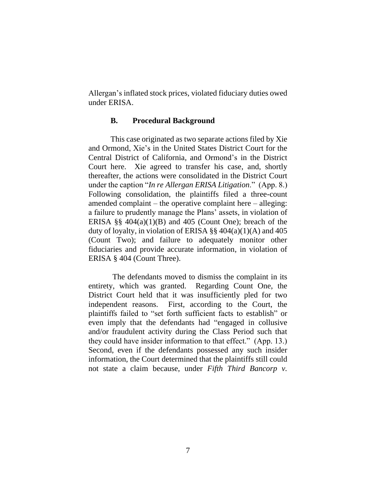Allergan's inflated stock prices, violated fiduciary duties owed under ERISA.

### **B. Procedural Background**

This case originated as two separate actions filed by Xie and Ormond, Xie's in the United States District Court for the Central District of California, and Ormond's in the District Court here. Xie agreed to transfer his case, and, shortly thereafter, the actions were consolidated in the District Court under the caption "*In re Allergan ERISA Litigation*." (App. 8.) Following consolidation, the plaintiffs filed a three-count amended complaint – the operative complaint here – alleging: a failure to prudently manage the Plans' assets, in violation of ERISA  $\S$ § 404(a)(1)(B) and 405 (Count One); breach of the duty of loyalty, in violation of ERISA §§  $404(a)(1)(A)$  and  $405$ (Count Two); and failure to adequately monitor other fiduciaries and provide accurate information, in violation of ERISA § 404 (Count Three).

The defendants moved to dismiss the complaint in its entirety, which was granted. Regarding Count One, the District Court held that it was insufficiently pled for two independent reasons. First, according to the Court, the plaintiffs failed to "set forth sufficient facts to establish" or even imply that the defendants had "engaged in collusive and/or fraudulent activity during the Class Period such that they could have insider information to that effect." (App. 13.) Second, even if the defendants possessed any such insider information, the Court determined that the plaintiffs still could not state a claim because, under *Fifth Third Bancorp v.*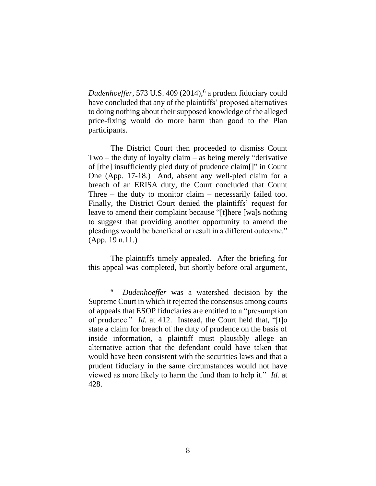*Dudenhoeffer*, 573 U.S. 409 (2014), 6 a prudent fiduciary could have concluded that any of the plaintiffs' proposed alternatives to doing nothing about their supposed knowledge of the alleged price-fixing would do more harm than good to the Plan participants.

The District Court then proceeded to dismiss Count Two – the duty of loyalty claim – as being merely "derivative" of [the] insufficiently pled duty of prudence claim[]" in Count One (App. 17-18.) And, absent any well-pled claim for a breach of an ERISA duty, the Court concluded that Count Three – the duty to monitor claim – necessarily failed too. Finally, the District Court denied the plaintiffs' request for leave to amend their complaint because "[t]here [wa]s nothing to suggest that providing another opportunity to amend the pleadings would be beneficial or result in a different outcome." (App. 19 n.11.)

The plaintiffs timely appealed. After the briefing for this appeal was completed, but shortly before oral argument,

<sup>6</sup> *Dudenhoeffer* was a watershed decision by the Supreme Court in which it rejected the consensus among courts of appeals that ESOP fiduciaries are entitled to a "presumption of prudence." *Id.* at 412. Instead, the Court held that, "[t]o state a claim for breach of the duty of prudence on the basis of inside information, a plaintiff must plausibly allege an alternative action that the defendant could have taken that would have been consistent with the securities laws and that a prudent fiduciary in the same circumstances would not have viewed as more likely to harm the fund than to help it." *Id.* at 428.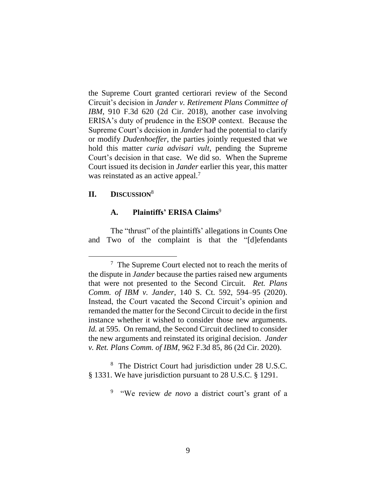the Supreme Court granted certiorari review of the Second Circuit's decision in *Jander v. Retirement Plans Committee of IBM*, 910 F.3d 620 (2d Cir. 2018), another case involving ERISA's duty of prudence in the ESOP context. Because the Supreme Court's decision in *Jander* had the potential to clarify or modify *Dudenhoeffer*, the parties jointly requested that we hold this matter *curia advisari vult*, pending the Supreme Court's decision in that case. We did so. When the Supreme Court issued its decision in *Jander* earlier this year, this matter was reinstated as an active appeal.<sup>7</sup>

# **II. DISCUSSION**<sup>8</sup>

# **A. Plaintiffs' ERISA Claims**<sup>9</sup>

The "thrust" of the plaintiffs' allegations in Counts One and Two of the complaint is that the "[d]efendants

8 The District Court had jurisdiction under 28 U.S.C. § 1331. We have jurisdiction pursuant to 28 U.S.C. § 1291.

<sup>9</sup> "We review *de novo* a district court's grant of a

<sup>&</sup>lt;sup>7</sup> The Supreme Court elected not to reach the merits of the dispute in *Jander* because the parties raised new arguments that were not presented to the Second Circuit. *Ret. Plans Comm. of IBM v. Jander*, 140 S. Ct. 592, 594–95 (2020). Instead, the Court vacated the Second Circuit's opinion and remanded the matter for the Second Circuit to decide in the first instance whether it wished to consider those new arguments. *Id.* at 595.On remand, the Second Circuit declined to consider the new arguments and reinstated its original decision. *Jander v. Ret. Plans Comm. of IBM*, 962 F.3d 85, 86 (2d Cir. 2020).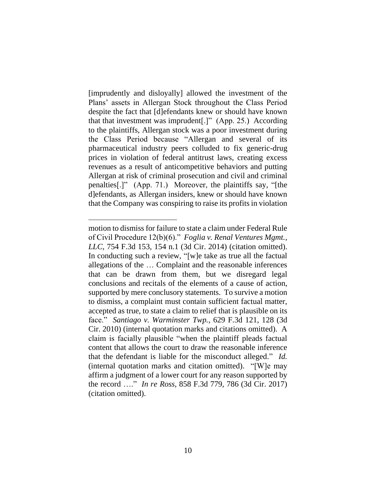[imprudently and disloyally] allowed the investment of the Plans' assets in Allergan Stock throughout the Class Period despite the fact that [d]efendants knew or should have known that that investment was imprudent[.]" (App. 25.) According to the plaintiffs, Allergan stock was a poor investment during the Class Period because "Allergan and several of its pharmaceutical industry peers colluded to fix generic-drug prices in violation of federal antitrust laws, creating excess revenues as a result of anticompetitive behaviors and putting Allergan at risk of criminal prosecution and civil and criminal penalties[.]" (App. 71.) Moreover, the plaintiffs say, "[the d]efendants, as Allergan insiders, knew or should have known that the Company was conspiring to raise its profits in violation

motion to dismiss for failure to state a claim under Federal Rule of Civil Procedure 12(b)(6)." *Foglia v. Renal Ventures Mgmt., LLC*, 754 F.3d 153, 154 n.1 (3d Cir. 2014) (citation omitted). In conducting such a review, "[w]e take as true all the factual allegations of the … Complaint and the reasonable inferences that can be drawn from them, but we disregard legal conclusions and recitals of the elements of a cause of action, supported by mere conclusory statements. To survive a motion to dismiss, a complaint must contain sufficient factual matter, accepted as true, to state a claim to relief that is plausible on its face." *Santiago v. Warminster Twp.*, 629 F.3d 121, 128 (3d Cir. 2010) (internal quotation marks and citations omitted). A claim is facially plausible "when the plaintiff pleads factual content that allows the court to draw the reasonable inference that the defendant is liable for the misconduct alleged." *Id.* (internal quotation marks and citation omitted). "[W]e may affirm a judgment of a lower court for any reason supported by the record …." *In re Ross*, 858 F.3d 779, 786 (3d Cir. 2017) (citation omitted).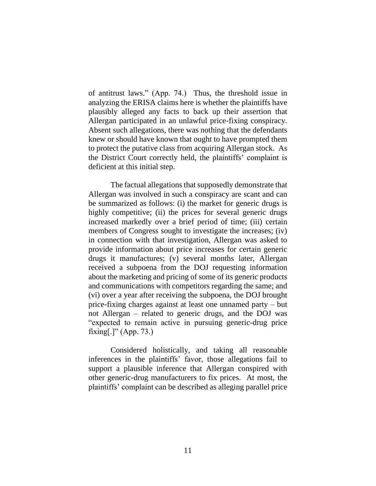of antitrust laws." (App. 74.) Thus, the threshold issue in analyzing the ERISA claims here is whether the plaintiffs have plausibly alleged any facts to back up their assertion that Allergan participated in an unlawful price-fixing conspiracy. Absent such allegations, there was nothing that the defendants knew or should have known that ought to have prompted them to protect the putative class from acquiring Allergan stock. As the District Court correctly held, the plaintiffs' complaint is deficient at this initial step.

The factual allegations that supposedly demonstrate that Allergan was involved in such a conspiracy are scant and can be summarized as follows: (i) the market for generic drugs is highly competitive; (ii) the prices for several generic drugs increased markedly over a brief period of time; (iii) certain members of Congress sought to investigate the increases; (iv) in connection with that investigation, Allergan was asked to provide information about price increases for certain generic drugs it manufactures; (v) several months later, Allergan received a subpoena from the DOJ requesting information about the marketing and pricing of some of its generic products and communications with competitors regarding the same; and (vi) over a year after receiving the subpoena, the DOJ brought price-fixing charges against at least one unnamed party – but not Allergan – related to generic drugs, and the DOJ was "expected to remain active in pursuing generic-drug price fixing[.]" (App. 73.)

Considered holistically, and taking all reasonable inferences in the plaintiffs' favor, those allegations fail to support a plausible inference that Allergan conspired with other generic-drug manufacturers to fix prices. At most, the plaintiffs' complaint can be described as alleging parallel price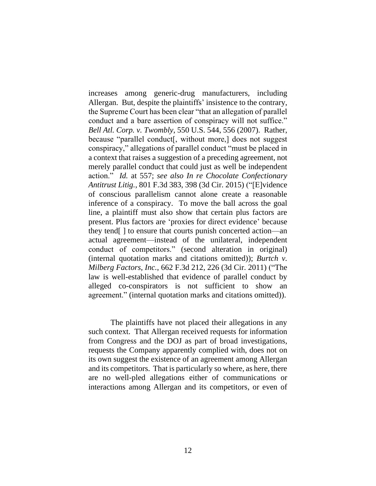increases among generic-drug manufacturers, including Allergan. But, despite the plaintiffs' insistence to the contrary, the Supreme Court has been clear "that an allegation of parallel conduct and a bare assertion of conspiracy will not suffice." *Bell Atl. Corp. v. Twombly*, 550 U.S. 544, 556 (2007). Rather, because "parallel conduct[, without more,] does not suggest conspiracy," allegations of parallel conduct "must be placed in a context that raises a suggestion of a preceding agreement, not merely parallel conduct that could just as well be independent action." *Id.* at 557; *see also In re Chocolate Confectionary Antitrust Litig.*, 801 F.3d 383, 398 (3d Cir. 2015) ("[E]vidence of conscious parallelism cannot alone create a reasonable inference of a conspiracy. To move the ball across the goal line, a plaintiff must also show that certain plus factors are present. Plus factors are 'proxies for direct evidence' because they tend[ ] to ensure that courts punish concerted action—an actual agreement—instead of the unilateral, independent conduct of competitors." (second alteration in original) (internal quotation marks and citations omitted)); *Burtch v. Milberg Factors, Inc.*, 662 F.3d 212, 226 (3d Cir. 2011) ("The law is well-established that evidence of parallel conduct by alleged co-conspirators is not sufficient to show an agreement." (internal quotation marks and citations omitted)).

The plaintiffs have not placed their allegations in any such context. That Allergan received requests for information from Congress and the DOJ as part of broad investigations, requests the Company apparently complied with, does not on its own suggest the existence of an agreement among Allergan and its competitors. That is particularly so where, as here, there are no well-pled allegations either of communications or interactions among Allergan and its competitors, or even of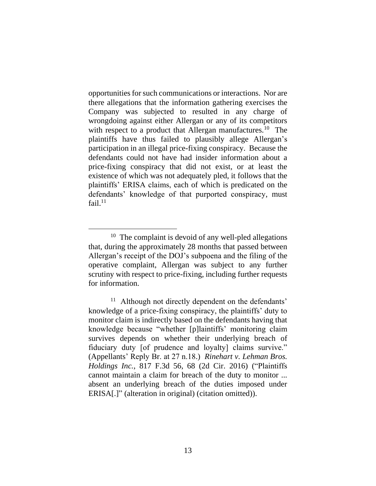opportunities for such communications or interactions. Nor are there allegations that the information gathering exercises the Company was subjected to resulted in any charge of wrongdoing against either Allergan or any of its competitors with respect to a product that Allergan manufactures.<sup>10</sup> The plaintiffs have thus failed to plausibly allege Allergan's participation in an illegal price-fixing conspiracy. Because the defendants could not have had insider information about a price-fixing conspiracy that did not exist, or at least the existence of which was not adequately pled, it follows that the plaintiffs' ERISA claims, each of which is predicated on the defendants' knowledge of that purported conspiracy, must fail. $^{11}$ 

<sup>&</sup>lt;sup>10</sup> The complaint is devoid of any well-pled allegations that, during the approximately 28 months that passed between Allergan's receipt of the DOJ's subpoena and the filing of the operative complaint, Allergan was subject to any further scrutiny with respect to price-fixing, including further requests for information.

<sup>&</sup>lt;sup>11</sup> Although not directly dependent on the defendants' knowledge of a price-fixing conspiracy, the plaintiffs' duty to monitor claim is indirectly based on the defendants having that knowledge because "whether [p]laintiffs' monitoring claim survives depends on whether their underlying breach of fiduciary duty [of prudence and loyalty] claims survive." (Appellants' Reply Br. at 27 n.18.) *Rinehart v. Lehman Bros. Holdings Inc.*, 817 F.3d 56, 68 (2d Cir. 2016) ("Plaintiffs cannot maintain a claim for breach of the duty to monitor ... absent an underlying breach of the duties imposed under ERISA[.]" (alteration in original) (citation omitted)).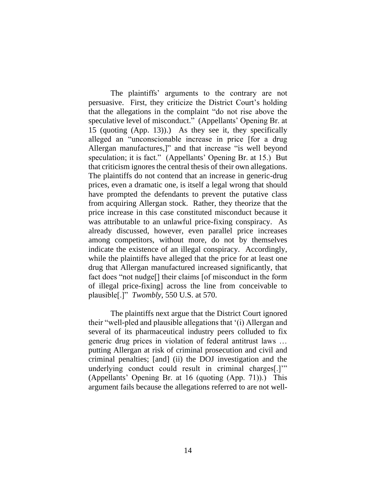The plaintiffs' arguments to the contrary are not persuasive. First, they criticize the District Court's holding that the allegations in the complaint "do not rise above the speculative level of misconduct." (Appellants' Opening Br. at 15 (quoting (App. 13)).) As they see it, they specifically alleged an "unconscionable increase in price [for a drug Allergan manufactures,]" and that increase "is well beyond speculation; it is fact." (Appellants' Opening Br. at 15.) But that criticism ignores the central thesis of their own allegations. The plaintiffs do not contend that an increase in generic-drug prices, even a dramatic one, is itself a legal wrong that should have prompted the defendants to prevent the putative class from acquiring Allergan stock. Rather, they theorize that the price increase in this case constituted misconduct because it was attributable to an unlawful price-fixing conspiracy. As already discussed, however, even parallel price increases among competitors, without more, do not by themselves indicate the existence of an illegal conspiracy. Accordingly, while the plaintiffs have alleged that the price for at least one drug that Allergan manufactured increased significantly, that fact does "not nudge[] their claims [of misconduct in the form of illegal price-fixing] across the line from conceivable to plausible[.]" *Twombly*, 550 U.S. at 570.

The plaintiffs next argue that the District Court ignored their "well-pled and plausible allegations that '(i) Allergan and several of its pharmaceutical industry peers colluded to fix generic drug prices in violation of federal antitrust laws … putting Allergan at risk of criminal prosecution and civil and criminal penalties; [and] (ii) the DOJ investigation and the underlying conduct could result in criminal charges<sup>[1]"</sup> (Appellants' Opening Br. at 16 (quoting (App. 71)).) This argument fails because the allegations referred to are not well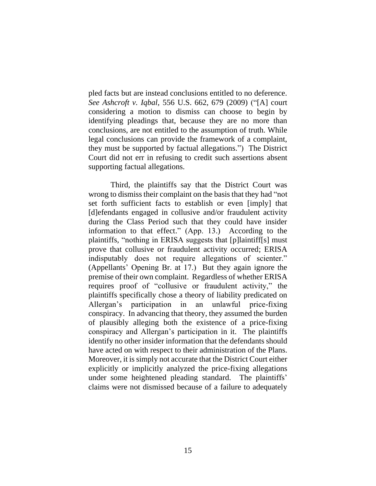pled facts but are instead conclusions entitled to no deference. *See Ashcroft v. Iqbal*, 556 U.S. 662, 679 (2009) ("[A] court considering a motion to dismiss can choose to begin by identifying pleadings that, because they are no more than conclusions, are not entitled to the assumption of truth. While legal conclusions can provide the framework of a complaint, they must be supported by factual allegations.") The District Court did not err in refusing to credit such assertions absent supporting factual allegations.

Third, the plaintiffs say that the District Court was wrong to dismiss their complaint on the basis that they had "not set forth sufficient facts to establish or even [imply] that [d]efendants engaged in collusive and/or fraudulent activity during the Class Period such that they could have insider information to that effect." (App. 13.) According to the plaintiffs, "nothing in ERISA suggests that [p]laintiff[s] must prove that collusive or fraudulent activity occurred; ERISA indisputably does not require allegations of scienter." (Appellants' Opening Br. at 17.) But they again ignore the premise of their own complaint. Regardless of whether ERISA requires proof of "collusive or fraudulent activity," the plaintiffs specifically chose a theory of liability predicated on Allergan's participation in an unlawful price-fixing conspiracy. In advancing that theory, they assumed the burden of plausibly alleging both the existence of a price-fixing conspiracy and Allergan's participation in it. The plaintiffs identify no other insider information that the defendants should have acted on with respect to their administration of the Plans. Moreover, it is simply not accurate that the District Court either explicitly or implicitly analyzed the price-fixing allegations under some heightened pleading standard. The plaintiffs' claims were not dismissed because of a failure to adequately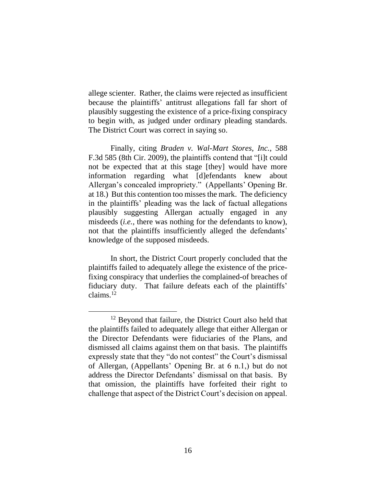allege scienter. Rather, the claims were rejected as insufficient because the plaintiffs' antitrust allegations fall far short of plausibly suggesting the existence of a price-fixing conspiracy to begin with, as judged under ordinary pleading standards. The District Court was correct in saying so.

Finally, citing *Braden v. Wal-Mart Stores, Inc.*, 588 F.3d 585 (8th Cir. 2009), the plaintiffs contend that "[i]t could not be expected that at this stage [they] would have more information regarding what [d]efendants knew about Allergan's concealed impropriety." (Appellants' Opening Br. at 18.) But this contention too misses the mark. The deficiency in the plaintiffs' pleading was the lack of factual allegations plausibly suggesting Allergan actually engaged in any misdeeds (*i.e.,* there was nothing for the defendants to know), not that the plaintiffs insufficiently alleged the defendants' knowledge of the supposed misdeeds.

In short, the District Court properly concluded that the plaintiffs failed to adequately allege the existence of the pricefixing conspiracy that underlies the complained-of breaches of fiduciary duty. That failure defeats each of the plaintiffs' claims.<sup>12</sup>

<sup>&</sup>lt;sup>12</sup> Beyond that failure, the District Court also held that the plaintiffs failed to adequately allege that either Allergan or the Director Defendants were fiduciaries of the Plans, and dismissed all claims against them on that basis. The plaintiffs expressly state that they "do not contest" the Court's dismissal of Allergan, (Appellants' Opening Br. at 6 n.1,) but do not address the Director Defendants' dismissal on that basis. By that omission, the plaintiffs have forfeited their right to challenge that aspect of the District Court's decision on appeal.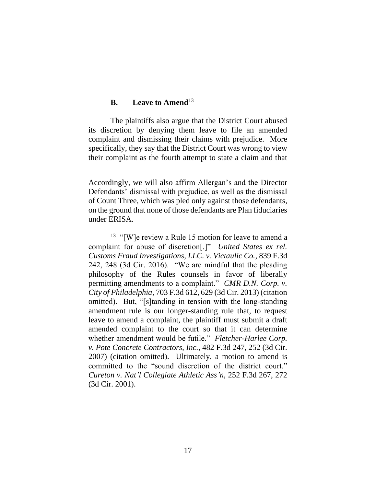### **B. Leave to Amend**<sup>13</sup>

The plaintiffs also argue that the District Court abused its discretion by denying them leave to file an amended complaint and dismissing their claims with prejudice. More specifically, they say that the District Court was wrong to view their complaint as the fourth attempt to state a claim and that

Accordingly, we will also affirm Allergan's and the Director Defendants' dismissal with prejudice, as well as the dismissal of Count Three, which was pled only against those defendants, on the ground that none of those defendants are Plan fiduciaries under ERISA.

 $13$  "[W]e review a Rule 15 motion for leave to amend a complaint for abuse of discretion[.]" *United States ex rel. Customs Fraud Investigations, LLC. v. Victaulic Co.*, 839 F.3d 242, 248 (3d Cir. 2016). "We are mindful that the pleading philosophy of the Rules counsels in favor of liberally permitting amendments to a complaint." *CMR D.N. Corp. v. City of Philadelphia*, 703 F.3d 612, 629 (3d Cir. 2013) (citation omitted). But, "[s]tanding in tension with the long-standing amendment rule is our longer-standing rule that, to request leave to amend a complaint, the plaintiff must submit a draft amended complaint to the court so that it can determine whether amendment would be futile." *Fletcher-Harlee Corp. v. Pote Concrete Contractors, Inc.*, 482 F.3d 247, 252 (3d Cir. 2007) (citation omitted). Ultimately, a motion to amend is committed to the "sound discretion of the district court." *Cureton v. Nat'l Collegiate Athletic Ass'n*, 252 F.3d 267, 272 (3d Cir. 2001).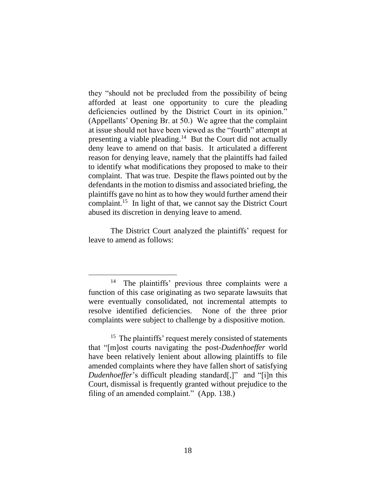they "should not be precluded from the possibility of being afforded at least one opportunity to cure the pleading deficiencies outlined by the District Court in its opinion." (Appellants' Opening Br. at 50.) We agree that the complaint at issue should not have been viewed as the "fourth" attempt at presenting a viable pleading.<sup>14</sup> But the Court did not actually deny leave to amend on that basis. It articulated a different reason for denying leave, namely that the plaintiffs had failed to identify what modifications they proposed to make to their complaint. That was true. Despite the flaws pointed out by the defendants in the motion to dismiss and associated briefing, the plaintiffs gave no hint as to how they would further amend their complaint.<sup>15</sup> In light of that, we cannot say the District Court abused its discretion in denying leave to amend.

The District Court analyzed the plaintiffs' request for leave to amend as follows:

<sup>14</sup> The plaintiffs' previous three complaints were a function of this case originating as two separate lawsuits that were eventually consolidated, not incremental attempts to resolve identified deficiencies. None of the three prior complaints were subject to challenge by a dispositive motion.

<sup>&</sup>lt;sup>15</sup> The plaintiffs' request merely consisted of statements that "[m]ost courts navigating the post-*Dudenhoeffer* world have been relatively lenient about allowing plaintiffs to file amended complaints where they have fallen short of satisfying *Dudenhoeffer*'s difficult pleading standard[,]" and "[i]n this Court, dismissal is frequently granted without prejudice to the filing of an amended complaint." (App. 138.)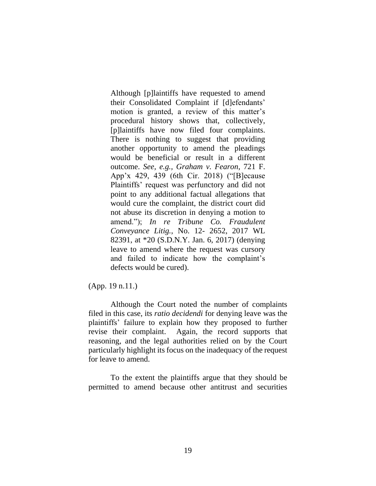Although [p]laintiffs have requested to amend their Consolidated Complaint if [d]efendants' motion is granted, a review of this matter's procedural history shows that, collectively, [p]laintiffs have now filed four complaints. There is nothing to suggest that providing another opportunity to amend the pleadings would be beneficial or result in a different outcome. *See, e.g., Graham v. Fearon*, 721 F. App'x 429, 439 (6th Cir. 2018) ("[B]ecause Plaintiffs' request was perfunctory and did not point to any additional factual allegations that would cure the complaint, the district court did not abuse its discretion in denying a motion to amend."); *In re Tribune Co. Fraudulent Conveyance Litig.*, No. 12- 2652, 2017 WL 82391, at \*20 (S.D.N.Y. Jan. 6, 2017) (denying leave to amend where the request was cursory and failed to indicate how the complaint's defects would be cured).

(App. 19 n.11.)

Although the Court noted the number of complaints filed in this case, its *ratio decidendi* for denying leave was the plaintiffs' failure to explain how they proposed to further revise their complaint. Again, the record supports that reasoning, and the legal authorities relied on by the Court particularly highlight its focus on the inadequacy of the request for leave to amend.

To the extent the plaintiffs argue that they should be permitted to amend because other antitrust and securities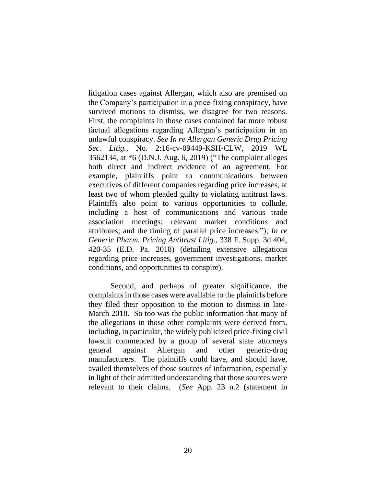litigation cases against Allergan, which also are premised on the Company's participation in a price-fixing conspiracy, have survived motions to dismiss, we disagree for two reasons. First, the complaints in those cases contained far more robust factual allegations regarding Allergan's participation in an unlawful conspiracy. *See In re Allergan Generic Drug Pricing Sec. Litig.,* No. 2:16-cv-09449-KSH-CLW, 2019 WL 3562134, at \*6 (D.N.J. Aug. 6, 2019) ("The complaint alleges both direct and indirect evidence of an agreement. For example, plaintiffs point to communications between executives of different companies regarding price increases, at least two of whom pleaded guilty to violating antitrust laws. Plaintiffs also point to various opportunities to collude, including a host of communications and various trade association meetings; relevant market conditions and attributes; and the timing of parallel price increases."); *In re Generic Pharm. Pricing Antitrust Litig.*, 338 F. Supp. 3d 404, 420-35 (E.D. Pa. 2018) (detailing extensive allegations regarding price increases, government investigations, market conditions, and opportunities to conspire).

Second, and perhaps of greater significance, the complaints in those cases were available to the plaintiffs before they filed their opposition to the motion to dismiss in late-March 2018. So too was the public information that many of the allegations in those other complaints were derived from, including, in particular, the widely publicized price-fixing civil lawsuit commenced by a group of several state attorneys general against Allergan and other generic-drug manufacturers. The plaintiffs could have, and should have, availed themselves of those sources of information, especially in light of their admitted understanding that those sources were relevant to their claims. (*See* App. 23 n.2 (statement in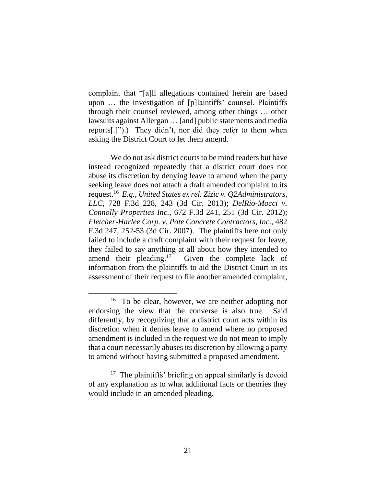complaint that "[a]ll allegations contained herein are based upon … the investigation of [p]laintiffs' counsel. Plaintiffs through their counsel reviewed, among other things … other lawsuits against Allergan … [and] public statements and media reports[.]").) They didn't, nor did they refer to them when asking the District Court to let them amend.

We do not ask district courts to be mind readers but have instead recognized repeatedly that a district court does not abuse its discretion by denying leave to amend when the party seeking leave does not attach a draft amended complaint to its request.<sup>16</sup> *E.g.*, *United States ex rel. Zizic v. Q2Administrators, LLC*, 728 F.3d 228, 243 (3d Cir. 2013); *DelRio-Mocci v. Connolly Properties Inc.*, 672 F.3d 241, 251 (3d Cir. 2012); *Fletcher-Harlee Corp. v. Pote Concrete Contractors, Inc.*, 482 F.3d 247, 252-53 (3d Cir. 2007). The plaintiffs here not only failed to include a draft complaint with their request for leave, they failed to say anything at all about how they intended to amend their pleading. $17$  Given the complete lack of information from the plaintiffs to aid the District Court in its assessment of their request to file another amended complaint,

<sup>&</sup>lt;sup>16</sup> To be clear, however, we are neither adopting nor endorsing the view that the converse is also true. Said differently, by recognizing that a district court acts within its discretion when it denies leave to amend where no proposed amendment is included in the request we do not mean to imply that a court necessarily abuses its discretion by allowing a party to amend without having submitted a proposed amendment.

<sup>&</sup>lt;sup>17</sup> The plaintiffs' briefing on appeal similarly is devoid of any explanation as to what additional facts or theories they would include in an amended pleading.